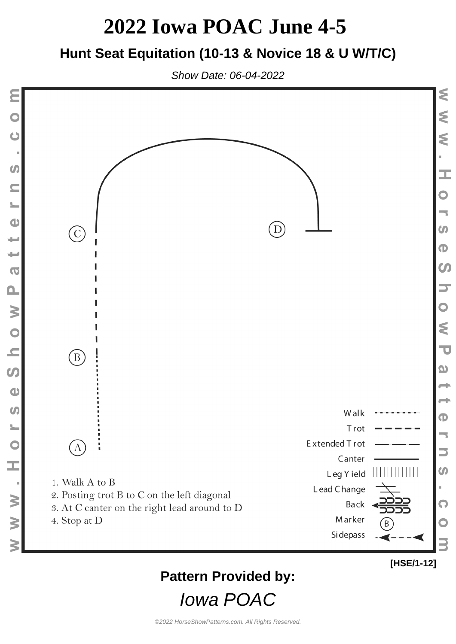### **Hunt Seat Equitation (10-13 & Novice 18 & U W/T/C)**

Show Date: 06-04-2022



### **Pattern Provided by:**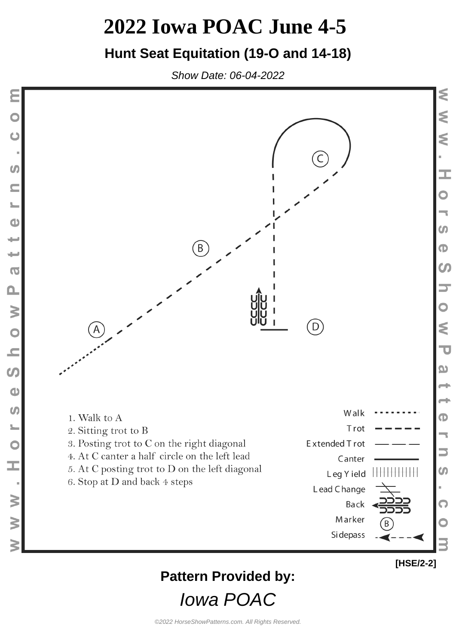### **Hunt Seat Equitation (19-O and 14-18)**

Show Date: 06-04-2022

Ò

**SV** 

 $\blacksquare$ 

 $\frac{1}{2}$ 

 $\bullet$ 

پ

₩

 $\overline{0}$ 

 $\mathbf{\Omega}$ 

N O

 $\equiv$ 

 $\boldsymbol{\omega}$ 

 $\bullet$ 

 $\omega$ 

 $\overline{\phantom{a}}$ 

 $\bullet$ 

I

 $\geq$ 

 $\geq$ 



## **Pattern Provided by:**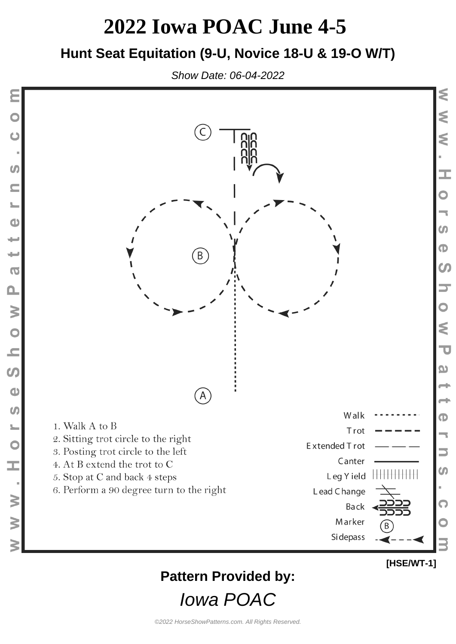#### **Hunt Seat Equitation (9-U, Novice 18-U & 19-O W/T)**

Show Date: 06-04-2022



### **Pattern Provided by:**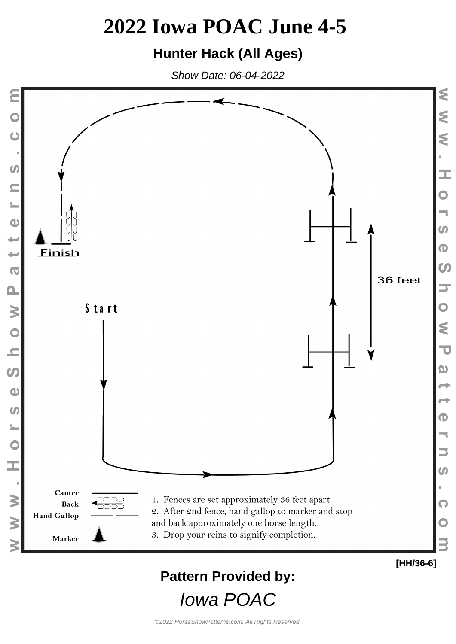### **Hunter Hack (All Ages)**

Show Date: 06-04-2022



## **Pattern Provided by:**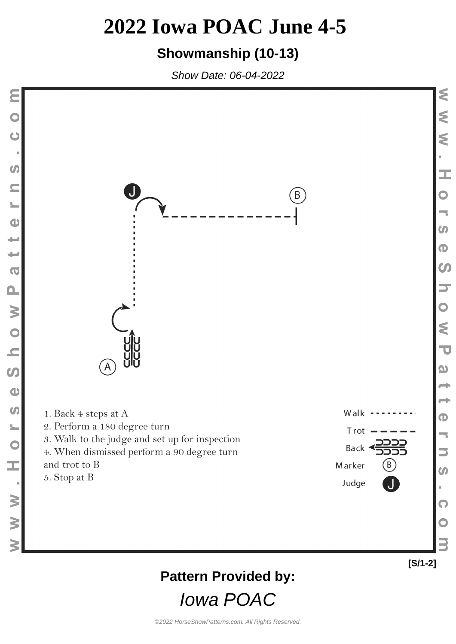### **Showmanship (10-13)**

Show Date: 06-04-2022

 $\ddot{\mathbf{C}}$ 

 $\omega$ 

 $\blacksquare$ 

 $\frac{1}{2}$ 

 $\bullet$ 

 $\overline{\phantom{0}}$ 

 $\overline{\phantom{a}}$ 

 $\overline{\bullet}$ 

 $\mathbf{a}$ 

Show

 $\bullet$ 

 $\frac{1}{2}$ 

 $\overline{O}$ 

H

 $W$   $W$ 

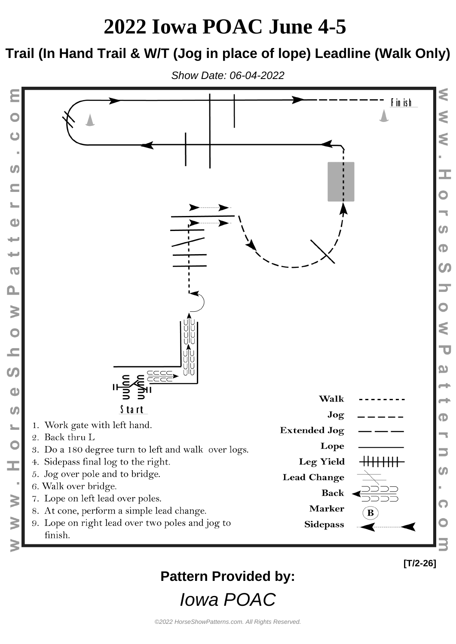### **Trail (In Hand Trail & W/T (Jog in place of lope) Leadline (Walk Only)**

Show Date: 06-04-2022



### **Pattern Provided by:**

Iowa POAC

**[T/2-26]**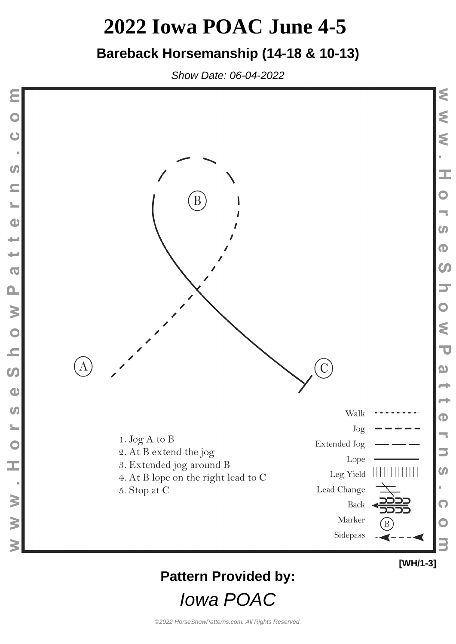### **Bareback Horsemanship (14-18 & 10-13)**

Show Date: 06-04-2022



### **Pattern Provided by:**

Iowa POAC

**[WH/1-3]**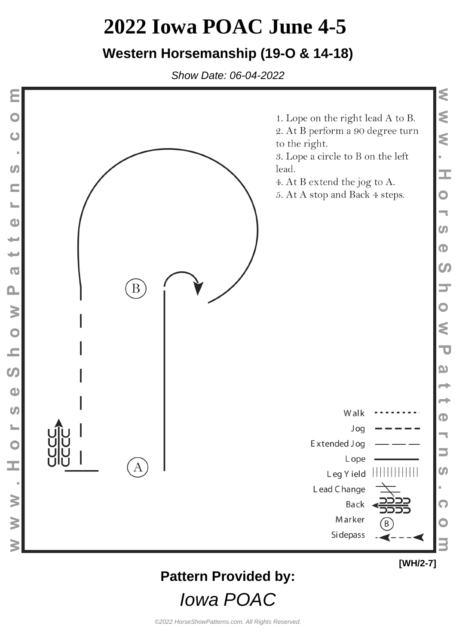### **Western Horsemanship (19-O & 14-18)**

Show Date: 06-04-2022



## **Pattern Provided by:**

Iowa POAC

**[WH/2-7]**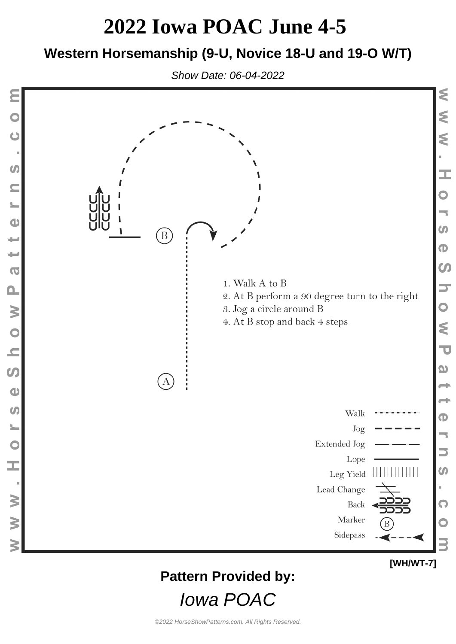#### **Western Horsemanship (9-U, Novice 18-U and 19-O W/T)**

Show Date: 06-04-2022



### **Pattern Provided by:**

Iowa POAC

**[WH/WT-7]**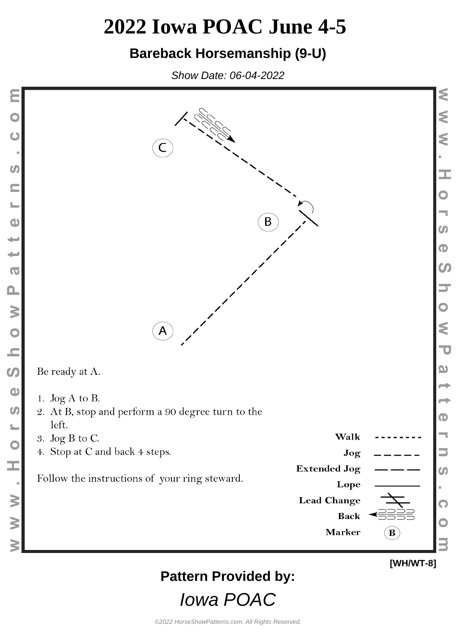#### **Bareback Horsemanship (9-U)**

Show Date: 06-04-2022

Ò

**U** 

 $\blacksquare$ 

 $\frac{1}{2}$ 

 $\bullet$ 

پ

 $\overline{\phantom{a}}$ 

 $\overline{0}$ 

 $\mathbf{\Omega}$ 

w o h

 $\boldsymbol{\omega}$ 

 $\bullet$ 

 $\boldsymbol{\omega}$ 

 $\overline{\mathbf{C}}$ 

I,

 $\geq$ 

 $\geq$ 



## **Pattern Provided by:**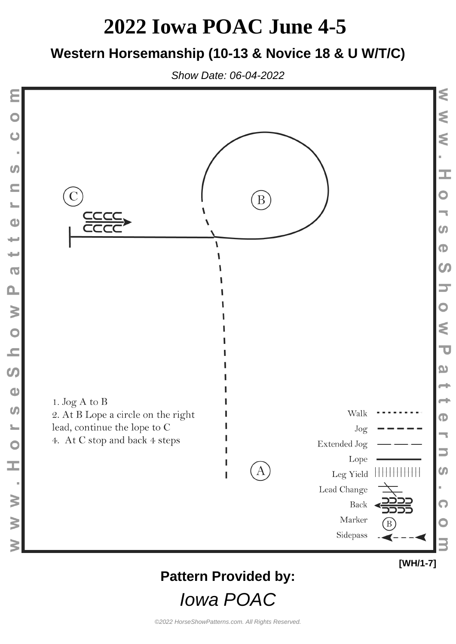### **Western Horsemanship (10-13 & Novice 18 & U W/T/C)**

Show Date: 06-04-2022



## **Pattern Provided by:**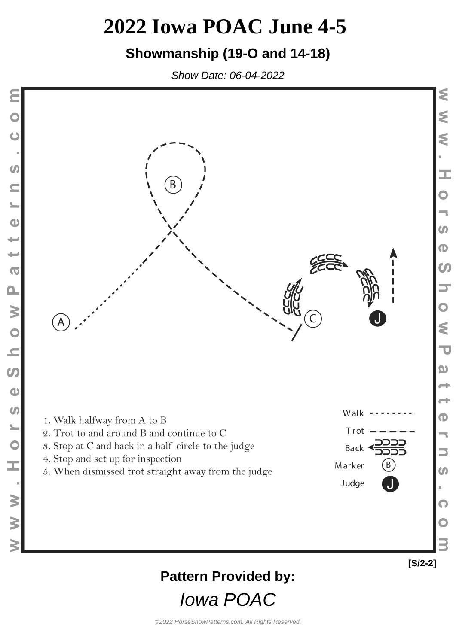### **Showmanship (19-O and 14-18)**

Show Date: 06-04-2022



Ò

 $\boldsymbol{\theta}$ 

 $\blacksquare$ 

 $\frac{1}{2}$ 

 $\bullet$ 

پ

₩

 $\overline{0}$ 

 $\mathbf{\Omega}$ 

W O N

 $\mathcal{L}$ 

 $\bullet$ 

 $\boldsymbol{\theta}$ 

L<br>O

H

 $\geq$ 

 $\geq$ 

**[S/2-2]**

### **Pattern Provided by:**